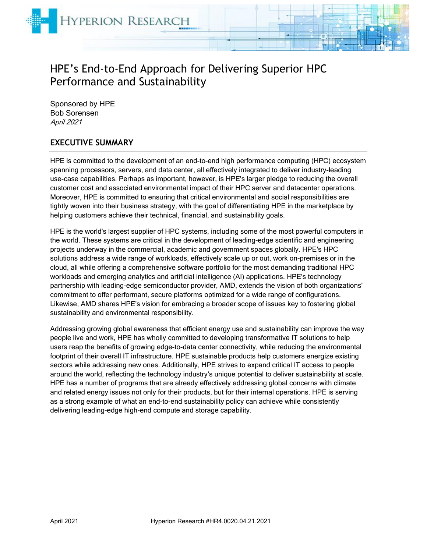

# HPE's End-to-End Approach for Delivering Superior HPC Performance and Sustainability

Sponsored by HPE Bob Sorensen April 2021

# **EXECUTIVE SUMMARY**

HPE is committed to the development of an end-to-end high performance computing (HPC) ecosystem spanning processors, servers, and data center, all effectively integrated to deliver industry-leading use-case capabilities. Perhaps as important, however, is HPE's larger pledge to reducing the overall customer cost and associated environmental impact of their HPC server and datacenter operations. Moreover, HPE is committed to ensuring that critical environmental and social responsibilities are tightly woven into their business strategy, with the goal of differentiating HPE in the marketplace by helping customers achieve their technical, financial, and sustainability goals.

HPE is the world's largest supplier of HPC systems, including some of the most powerful computers in the world. These systems are critical in the development of leading-edge scientific and engineering projects underway in the commercial, academic and government spaces globally. HPE's HPC solutions address a wide range of workloads, effectively scale up or out, work on-premises or in the cloud, all while offering a comprehensive software portfolio for the most demanding traditional HPC workloads and emerging analytics and artificial intelligence (AI) applications. HPE's technology partnership with leading-edge semiconductor provider, AMD, extends the vision of both organizations' commitment to offer performant, secure platforms optimized for a wide range of configurations. Likewise, AMD shares HPE's vision for embracing a broader scope of issues key to fostering global sustainability and environmental responsibility.

Addressing growing global awareness that efficient energy use and sustainability can improve the way people live and work, HPE has wholly committed to developing transformative IT solutions to help users reap the benefits of growing edge-to-data center connectivity, while reducing the environmental footprint of their overall IT infrastructure. HPE sustainable products help customers energize existing sectors while addressing new ones. Additionally, HPE strives to expand critical IT access to people around the world, reflecting the technology industry's unique potential to deliver sustainability at scale. HPE has a number of programs that are already effectively addressing global concerns with climate and related energy issues not only for their products, but for their internal operations. HPE is serving as a strong example of what an end-to-end sustainability policy can achieve while consistently delivering leading-edge high-end compute and storage capability.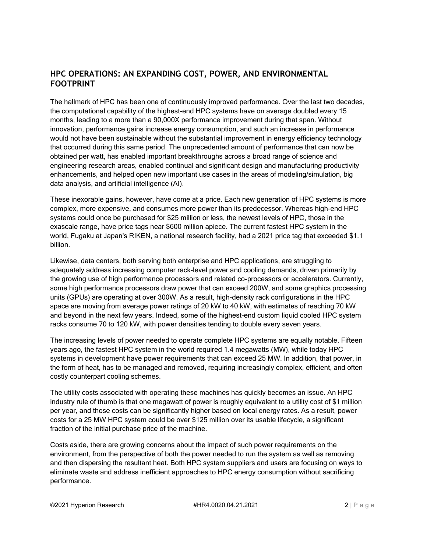# **HPC OPERATIONS: AN EXPANDING COST, POWER, AND ENVIRONMENTAL FOOTPRINT**

The hallmark of HPC has been one of continuously improved performance. Over the last two decades, the computational capability of the highest-end HPC systems have on average doubled every 15 months, leading to a more than a 90,000X performance improvement during that span. Without innovation, performance gains increase energy consumption, and such an increase in performance would not have been sustainable without the substantial improvement in energy efficiency technology that occurred during this same period. The unprecedented amount of performance that can now be obtained per watt, has enabled important breakthroughs across a broad range of science and engineering research areas, enabled continual and significant design and manufacturing productivity enhancements, and helped open new important use cases in the areas of modeling/simulation, big data analysis, and artificial intelligence (AI).

These inexorable gains, however, have come at a price. Each new generation of HPC systems is more complex, more expensive, and consumes more power than its predecessor. Whereas high-end HPC systems could once be purchased for \$25 million or less, the newest levels of HPC, those in the exascale range, have price tags near \$600 million apiece. The current fastest HPC system in the world, Fugaku at Japan's RIKEN, a national research facility, had a 2021 price tag that exceeded \$1.1 billion.

Likewise, data centers, both serving both enterprise and HPC applications, are struggling to adequately address increasing computer rack-level power and cooling demands, driven primarily by the growing use of high performance processors and related co-processors or accelerators. Currently, some high performance processors draw power that can exceed 200W, and some graphics processing units (GPUs) are operating at over 300W. As a result, high-density rack configurations in the HPC space are moving from average power ratings of 20 kW to 40 kW, with estimates of reaching 70 kW and beyond in the next few years. Indeed, some of the highest-end custom liquid cooled HPC system racks consume 70 to 120 kW, with power densities tending to double every seven years.

The increasing levels of power needed to operate complete HPC systems are equally notable. Fifteen years ago, the fastest HPC system in the world required 1.4 megawatts (MW), while today HPC systems in development have power requirements that can exceed 25 MW. In addition, that power, in the form of heat, has to be managed and removed, requiring increasingly complex, efficient, and often costly counterpart cooling schemes.

The utility costs associated with operating these machines has quickly becomes an issue. An HPC industry rule of thumb is that one megawatt of power is roughly equivalent to a utility cost of \$1 million per year, and those costs can be significantly higher based on local energy rates. As a result, power costs for a 25 MW HPC system could be over \$125 million over its usable lifecycle, a significant fraction of the initial purchase price of the machine.

Costs aside, there are growing concerns about the impact of such power requirements on the environment, from the perspective of both the power needed to run the system as well as removing and then dispersing the resultant heat. Both HPC system suppliers and users are focusing on ways to eliminate waste and address inefficient approaches to HPC energy consumption without sacrificing performance.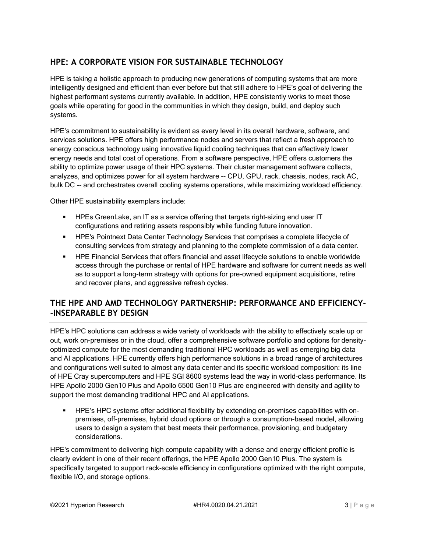# **HPE: A CORPORATE VISION FOR SUSTAINABLE TECHNOLOGY**

HPE is taking a holistic approach to producing new generations of computing systems that are more intelligently designed and efficient than ever before but that still adhere to HPE's goal of delivering the highest performant systems currently available. In addition, HPE consistently works to meet those goals while operating for good in the communities in which they design, build, and deploy such systems.

HPE's commitment to sustainability is evident as every level in its overall hardware, software, and services solutions. HPE offers high performance nodes and servers that reflect a fresh approach to energy conscious technology using innovative liquid cooling techniques that can effectively lower energy needs and total cost of operations. From a software perspective, HPE offers customers the ability to optimize power usage of their HPC systems. Their cluster management software collects, analyzes, and optimizes power for all system hardware -- CPU, GPU, rack, chassis, nodes, rack AC, bulk DC -- and orchestrates overall cooling systems operations, while maximizing workload efficiency.

Other HPE sustainability exemplars include:

- **EXE** HPEs GreenLake, an IT as a service offering that targets right-sizing end user IT configurations and retiring assets responsibly while funding future innovation.
- **HPE's Pointnext Data Center Technology Services that comprises a complete lifecycle of** consulting services from strategy and planning to the complete commission of a data center.
- **HPE Financial Services that offers financial and asset lifecycle solutions to enable worldwide** access through the purchase or rental of HPE hardware and software for current needs as well as to support a long-term strategy with options for pre-owned equipment acquisitions, retire and recover plans, and aggressive refresh cycles.

# **THE HPE AND AMD TECHNOLOGY PARTNERSHIP: PERFORMANCE AND EFFICIENCY- -INSEPARABLE BY DESIGN**

HPE's HPC solutions can address a wide variety of workloads with the ability to effectively scale up or out, work on-premises or in the cloud, offer a comprehensive software portfolio and options for densityoptimized compute for the most demanding traditional HPC workloads as well as emerging big data and AI applications. HPE currently offers high performance solutions in a broad range of architectures and configurations well suited to almost any data center and its specific workload composition: its line of HPE Cray supercomputers and HPE SGI 8600 systems lead the way in world-class performance. Its HPE Apollo 2000 Gen10 Plus and Apollo 6500 Gen10 Plus are engineered with density and agility to support the most demanding traditional HPC and AI applications.

HPE's HPC systems offer additional flexibility by extending on-premises capabilities with onpremises, off-premises, hybrid cloud options or through a consumption-based model, allowing users to design a system that best meets their performance, provisioning, and budgetary considerations.

HPE's commitment to delivering high compute capability with a dense and energy efficient profile is clearly evident in one of their recent offerings, the HPE Apollo 2000 Gen10 Plus. The system is specifically targeted to support rack-scale efficiency in configurations optimized with the right compute, flexible I/O, and storage options.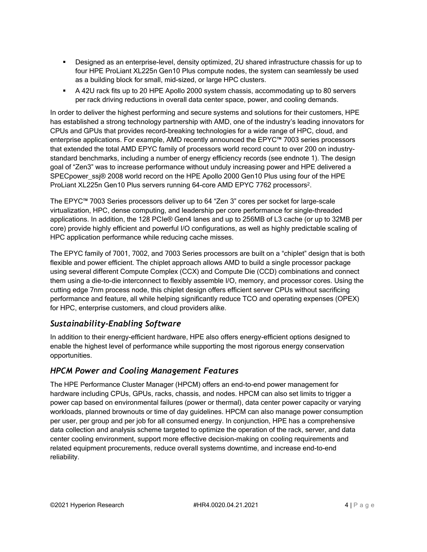- Designed as an enterprise-level, density optimized, 2U shared infrastructure chassis for up to four HPE ProLiant XL225n Gen10 Plus compute nodes, the system can seamlessly be used as a building block for small, mid-sized, or large HPC clusters.
- A 42U rack fits up to 20 HPE Apollo 2000 system chassis, accommodating up to 80 servers per rack driving reductions in overall data center space, power, and cooling demands.

In order to deliver the highest performing and secure systems and solutions for their customers, HPE has established a strong technology partnership with AMD, one of the industry's leading innovators for CPUs and GPUs that provides record-breaking technologies for a wide range of HPC, cloud, and enterprise applications. For example, AMD recently announced the EPYC™ 7003 series processors that extended the total AMD EPYC family of processors world record count to over 200 on industrystandard benchmarks, including a number of energy efficiency records (see endnote 1). The design goal of "Zen3" was to increase performance without unduly increasing power and HPE delivered a SPECpower\_ssj® 2008 world record on the HPE Apollo 2000 Gen10 Plus using four of the HPE ProLiant XL225n Gen10 Plus servers running 64-core AMD EPYC 7762 processors<sup>2</sup>.

The EPYC™ 7003 Series processors deliver up to 64 "Zen 3" cores per socket for large-scale virtualization, HPC, dense computing, and leadership per core performance for single-threaded applications. In addition, the 128 PCIe® Gen4 lanes and up to 256MB of L3 cache (or up to 32MB per core) provide highly efficient and powerful I/O configurations, as well as highly predictable scaling of HPC application performance while reducing cache misses.

The EPYC family of 7001, 7002, and 7003 Series processors are built on a "chiplet" design that is both flexible and power efficient. The chiplet approach allows AMD to build a single processor package using several different Compute Complex (CCX) and Compute Die (CCD) combinations and connect them using a die-to-die interconnect to flexibly assemble I/O, memory, and processor cores. Using the cutting edge 7nm process node, this chiplet design offers efficient server CPUs without sacrificing performance and feature, all while helping significantly reduce TCO and operating expenses (OPEX) for HPC, enterprise customers, and cloud providers alike.

# *Sustainability-Enabling Software*

In addition to their energy-efficient hardware, HPE also offers energy-efficient options designed to enable the highest level of performance while supporting the most rigorous energy conservation opportunities.

# *HPCM Power and Cooling Management Features*

The HPE Performance Cluster Manager (HPCM) offers an end-to-end power management for hardware including CPUs, GPUs, racks, chassis, and nodes. HPCM can also set limits to trigger a power cap based on environmental failures (power or thermal), data center power capacity or varying workloads, planned brownouts or time of day guidelines. HPCM can also manage power consumption per user, per group and per job for all consumed energy. In conjunction, HPE has a comprehensive data collection and analysis scheme targeted to optimize the operation of the rack, server, and data center cooling environment, support more effective decision-making on cooling requirements and related equipment procurements, reduce overall systems downtime, and increase end-to-end reliability.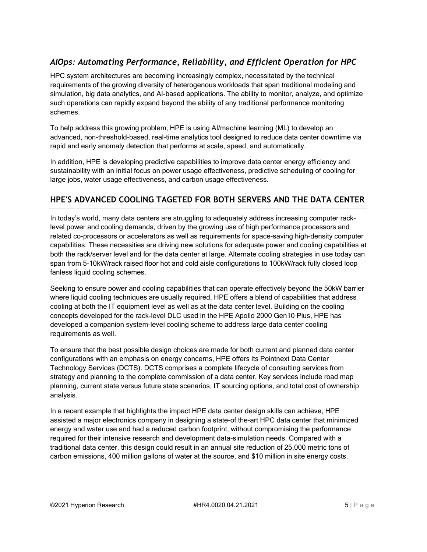# *AIOps: Automating Performance, Reliability, and Efficient Operation for HPC*

HPC system architectures are becoming increasingly complex, necessitated by the technical requirements of the growing diversity of heterogenous workloads that span traditional modeling and simulation, big data analytics, and AI-based applications. The ability to monitor, analyze, and optimize such operations can rapidly expand beyond the ability of any traditional performance monitoring schemes.

To help address this growing problem, HPE is using AI/machine learning (ML) to develop an advanced, non-threshold-based, real-time analytics tool designed to reduce data center downtime via rapid and early anomaly detection that performs at scale, speed, and automatically.

In addition, HPE is developing predictive capabilities to improve data center energy efficiency and sustainability with an initial focus on power usage effectiveness, predictive scheduling of cooling for large jobs, water usage effectiveness, and carbon usage effectiveness.

# **HPE'S ADVANCED COOLING TAGETED FOR BOTH SERVERS AND THE DATA CENTER**

In today's world, many data centers are struggling to adequately address increasing computer racklevel power and cooling demands, driven by the growing use of high performance processors and related co-processors or accelerators as well as requirements for space-saving high-density computer capabilities. These necessities are driving new solutions for adequate power and cooling capabilities at both the rack/server level and for the data center at large. Alternate cooling strategies in use today can span from 5-10kW/rack raised floor hot and cold aisle configurations to 100kW/rack fully closed loop fanless liquid cooling schemes.

Seeking to ensure power and cooling capabilities that can operate effectively beyond the 50kW barrier where liquid cooling techniques are usually required, HPE offers a blend of capabilities that address cooling at both the IT equipment level as well as at the data center level. Building on the cooling concepts developed for the rack-level DLC used in the HPE Apollo 2000 Gen10 Plus, HPE has developed a companion system-level cooling scheme to address large data center cooling requirements as well.

To ensure that the best possible design choices are made for both current and planned data center configurations with an emphasis on energy concerns, HPE offers its Pointnext Data Center Technology Services (DCTS). DCTS comprises a complete lifecycle of consulting services from strategy and planning to the complete commission of a data center. Key services include road map planning, current state versus future state scenarios, IT sourcing options, and total cost of ownership analysis.

In a recent example that highlights the impact HPE data center design skills can achieve, HPE assisted a major electronics company in designing a state-of the-art HPC data center that minimized energy and water use and had a reduced carbon footprint, without compromising the performance required for their intensive research and development data-simulation needs. Compared with a traditional data center, this design could result in an annual site reduction of 25,000 metric tons of carbon emissions, 400 million gallons of water at the source, and \$10 million in site energy costs.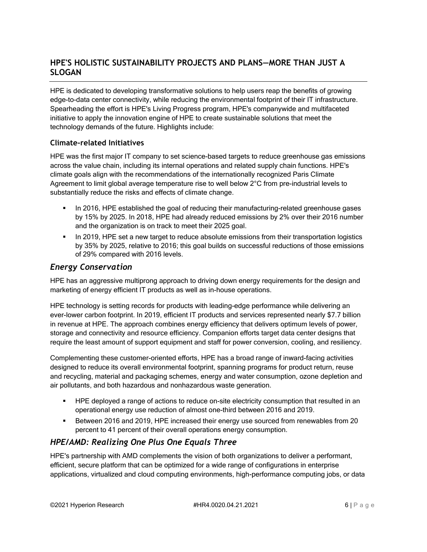# **HPE'S HOLISTIC SUSTAINABILITY PROJECTS AND PLANS—MORE THAN JUST A SLOGAN**

HPE is dedicated to developing transformative solutions to help users reap the benefits of growing edge-to-data center connectivity, while reducing the environmental footprint of their IT infrastructure. Spearheading the effort is HPE's Living Progress program, HPE's companywide and multifaceted initiative to apply the innovation engine of HPE to create sustainable solutions that meet the technology demands of the future. Highlights include:

#### **Climate-related Initiatives**

HPE was the first major IT company to set science-based targets to reduce greenhouse gas emissions across the value chain, including its internal operations and related supply chain functions. HPE's climate goals align with the recommendations of the internationally recognized Paris Climate Agreement to limit global average temperature rise to well below 2°C from pre-industrial levels to substantially reduce the risks and effects of climate change.

- **In 2016, HPE established the goal of reducing their manufacturing-related greenhouse gases** by 15% by 2025. In 2018, HPE had already reduced emissions by 2% over their 2016 number and the organization is on track to meet their 2025 goal.
- **•** In 2019, HPE set a new target to reduce absolute emissions from their transportation logistics by 35% by 2025, relative to 2016; this goal builds on successful reductions of those emissions of 29% compared with 2016 levels.

# *Energy Conservation*

HPE has an aggressive multiprong approach to driving down energy requirements for the design and marketing of energy efficient IT products as well as in-house operations.

HPE technology is setting records for products with leading-edge performance while delivering an ever-lower carbon footprint. In 2019, efficient IT products and services represented nearly \$7.7 billion in revenue at HPE. The approach combines energy efficiency that delivers optimum levels of power, storage and connectivity and resource efficiency. Companion efforts target data center designs that require the least amount of support equipment and staff for power conversion, cooling, and resiliency.

Complementing these customer-oriented efforts, HPE has a broad range of inward-facing activities designed to reduce its overall environmental footprint, spanning programs for product return, reuse and recycling, material and packaging schemes, energy and water consumption, ozone depletion and air pollutants, and both hazardous and nonhazardous waste generation.

- HPE deployed a range of actions to reduce on-site electricity consumption that resulted in an operational energy use reduction of almost one-third between 2016 and 2019.
- Between 2016 and 2019, HPE increased their energy use sourced from renewables from 20 percent to 41 percent of their overall operations energy consumption.

# *HPE/AMD: Realizing One Plus One Equals Three*

HPE's partnership with AMD complements the vision of both organizations to deliver a performant, efficient, secure platform that can be optimized for a wide range of configurations in enterprise applications, virtualized and cloud computing environments, high-performance computing jobs, or data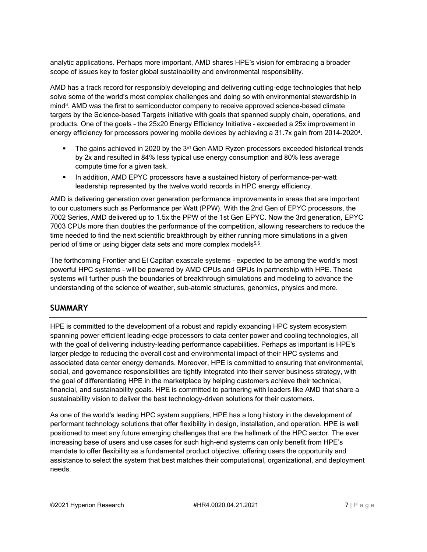analytic applications. Perhaps more important, AMD shares HPE's vision for embracing a broader scope of issues key to foster global sustainability and environmental responsibility.

AMD has a track record for responsibly developing and delivering cutting-edge technologies that help solve some of the world's most complex challenges and doing so with environmental stewardship in mind<sup>3</sup>. AMD was the first to semiconductor company to receive approved science-based climate targets by the Science-based Targets initiative with goals that spanned supply chain, operations, and products. One of the goals – the 25x20 Energy Efficiency Initiative – exceeded a 25x improvement in energy efficiency for processors powering mobile devices by achieving a 31.7x gain from 2014-2020<sup>4</sup>.

- **•** The gains achieved in 2020 by the  $3<sup>rd</sup>$  Gen AMD Ryzen processors exceeded historical trends by 2x and resulted in 84% less typical use energy consumption and 80% less average compute time for a given task.
- In addition, AMD EPYC processors have a sustained history of performance-per-watt leadership represented by the twelve world records in HPC energy efficiency.

AMD is delivering generation over generation performance improvements in areas that are important to our customers such as Performance per Watt (PPW). With the 2nd Gen of EPYC processors, the 7002 Series, AMD delivered up to 1.5x the PPW of the 1st Gen EPYC. Now the 3rd generation, EPYC 7003 CPUs more than doubles the performance of the competition, allowing researchers to reduce the time needed to find the next scientific breakthrough by either running more simulations in a given period of time or using bigger data sets and more complex models<sup>5,6</sup>.

The forthcoming Frontier and El Capitan exascale systems – expected to be among the world's most powerful HPC systems – will be powered by AMD CPUs and GPUs in partnership with HPE. These systems will further push the boundaries of breakthrough simulations and modeling to advance the understanding of the science of weather, sub-atomic structures, genomics, physics and more.

# **SUMMARY**

HPE is committed to the development of a robust and rapidly expanding HPC system ecosystem spanning power efficient leading-edge processors to data center power and cooling technologies, all with the goal of delivering industry-leading performance capabilities. Perhaps as important is HPE's larger pledge to reducing the overall cost and environmental impact of their HPC systems and associated data center energy demands. Moreover, HPE is committed to ensuring that environmental, social, and governance responsibilities are tightly integrated into their server business strategy, with the goal of differentiating HPE in the marketplace by helping customers achieve their technical, financial, and sustainability goals. HPE is committed to partnering with leaders like AMD that share a sustainability vision to deliver the best technology-driven solutions for their customers.

As one of the world's leading HPC system suppliers, HPE has a long history in the development of performant technology solutions that offer flexibility in design, installation, and operation. HPE is well positioned to meet any future emerging challenges that are the hallmark of the HPC sector. The ever increasing base of users and use cases for such high-end systems can only benefit from HPE's mandate to offer flexibility as a fundamental product objective, offering users the opportunity and assistance to select the system that best matches their computational, organizational, and deployment needs.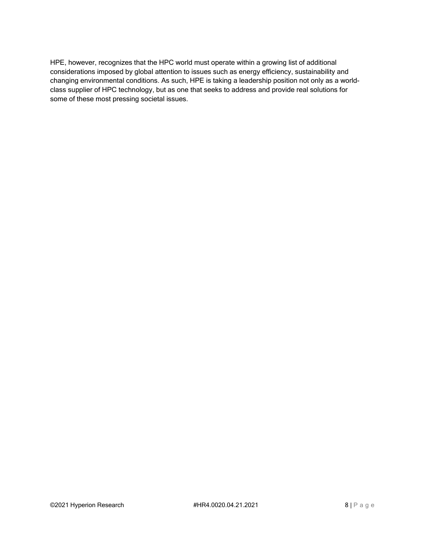HPE, however, recognizes that the HPC world must operate within a growing list of additional considerations imposed by global attention to issues such as energy efficiency, sustainability and changing environmental conditions. As such, HPE is taking a leadership position not only as a worldclass supplier of HPC technology, but as one that seeks to address and provide real solutions for some of these most pressing societal issues.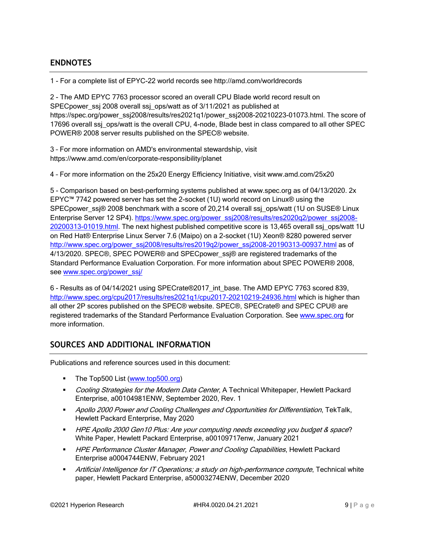# **ENDNOTES**

1 - For a complete list of EPYC-22 world records see http://amd.com/worldrecords

2 - The AMD EPYC 7763 processor scored an overall CPU Blade world record result on SPECpower\_ssj 2008 overall ssj\_ops/watt as of 3/11/2021 as published at https://spec.org/power\_ssj2008/results/res2021q1/power\_ssj2008-20210223-01073.html. The score of 17696 overall ssi ops/watt is the overall CPU, 4-node, Blade best in class compared to all other SPEC POWER® 2008 server results published on the SPEC® website.

3 – For more information on AMD's environmental stewardship, visit https://www.amd.com/en/corporate-responsibility/planet

4 – For more information on the 25x20 Energy Efficiency Initiative, visit www.amd.com/25x20

5 - Comparison based on best-performing systems published at www.spec.org as of 04/13/2020. 2x EPYC™ 7742 powered server has set the 2-socket (1U) world record on Linux® using the SPECpower\_ssj® 2008 benchmark with a score of 20,214 overall ssj\_ops/watt (1U on SUSE® Linux Enterprise Server 12 SP4). [https://www.spec.org/power\\_ssj2008/results/res2020q2/power\\_ssj2008-](https://www.spec.org/power_ssj2008/results/res2020q2/power_ssj2008-20200313-01019.html) [20200313-01019.html.](https://www.spec.org/power_ssj2008/results/res2020q2/power_ssj2008-20200313-01019.html) The next highest published competitive score is 13,465 overall ssj\_ops/watt 1U on Red Hat® Enterprise Linux Server 7.6 (Maipo) on a 2-socket (1U) Xeon® 8280 powered server [http://www.spec.org/power\\_ssj2008/results/res2019q2/power\\_ssj2008-20190313-00937.html](http://www.spec.org/power_ssj2008/results/res2019q2/power_ssj2008-20190313-00937.html) as of 4/13/2020. SPEC®, SPEC POWER® and SPECpower\_ssi® are registered trademarks of the Standard Performance Evaluation Corporation. For more information about SPEC POWER® 2008, see [www.spec.org/power\\_ssj/](file:///C:/Users/bobso/Documents/Clients/HPE/White%20Papers/P&C%202021/Drafts/www.spec.org/power_ssj/)

6 - Results as of 04/14/2021 using SPECrate®2017\_int\_base. The AMD EPYC 7763 scored 839, <http://www.spec.org/cpu2017/results/res2021q1/cpu2017-20210219-24936.html> which is higher than all other 2P scores published on the SPEC® website. SPEC®, SPECrate® and SPEC CPU® are registered trademarks of the Standard Performance Evaluation Corporation. See [www.spec.org](file:///C:/Users/bobso/Documents/Clients/HPE/White%20Papers/P&C%202021/Drafts/www.spec.org) for more information.

# **SOURCES AND ADDITIONAL INFORMATION**

Publications and reference sources used in this document:

- The Top500 List [\(www.top500.org\)](http://www.top500.org/)
- **Cooling Strategies for the Modern Data Center, A Technical Whitepaper, Hewlett Packard** Enterprise, a00104981ENW, September 2020, Rev. 1
- **■** Apollo 2000 Power and Cooling Challenges and Opportunities for Differentiation, TekTalk, Hewlett Packard Enterprise, May 2020
- HPE Apollo 2000 Gen10 Plus: Are your computing needs exceeding you budget & space? White Paper, Hewlett Packard Enterprise, a00109717enw, January 2021
- **HPE Performance Cluster Manager, Power and Cooling Capabilities, Hewlett Packard** Enterprise a0004744ENW, February 2021
- **■** Artificial Intelligence for IT Operations; a study on high-performance compute, Technical white paper, Hewlett Packard Enterprise, a50003274ENW, December 2020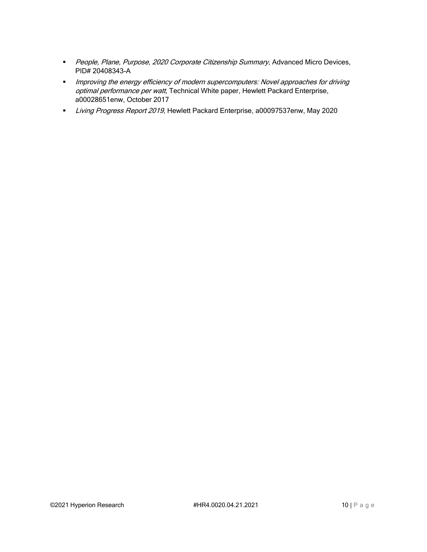- **·** People, Plane, Purpose, 2020 Corporate Citizenship Summary, Advanced Micro Devices, PID# 20408343-A
- **■** Improving the energy efficiency of modern supercomputers: Novel approaches for driving optimal performance per watt, Technical White paper, Hewlett Packard Enterprise, a00028651enw, October 2017
- **E** Living Progress Report 2019, Hewlett Packard Enterprise, a00097537enw, May 2020